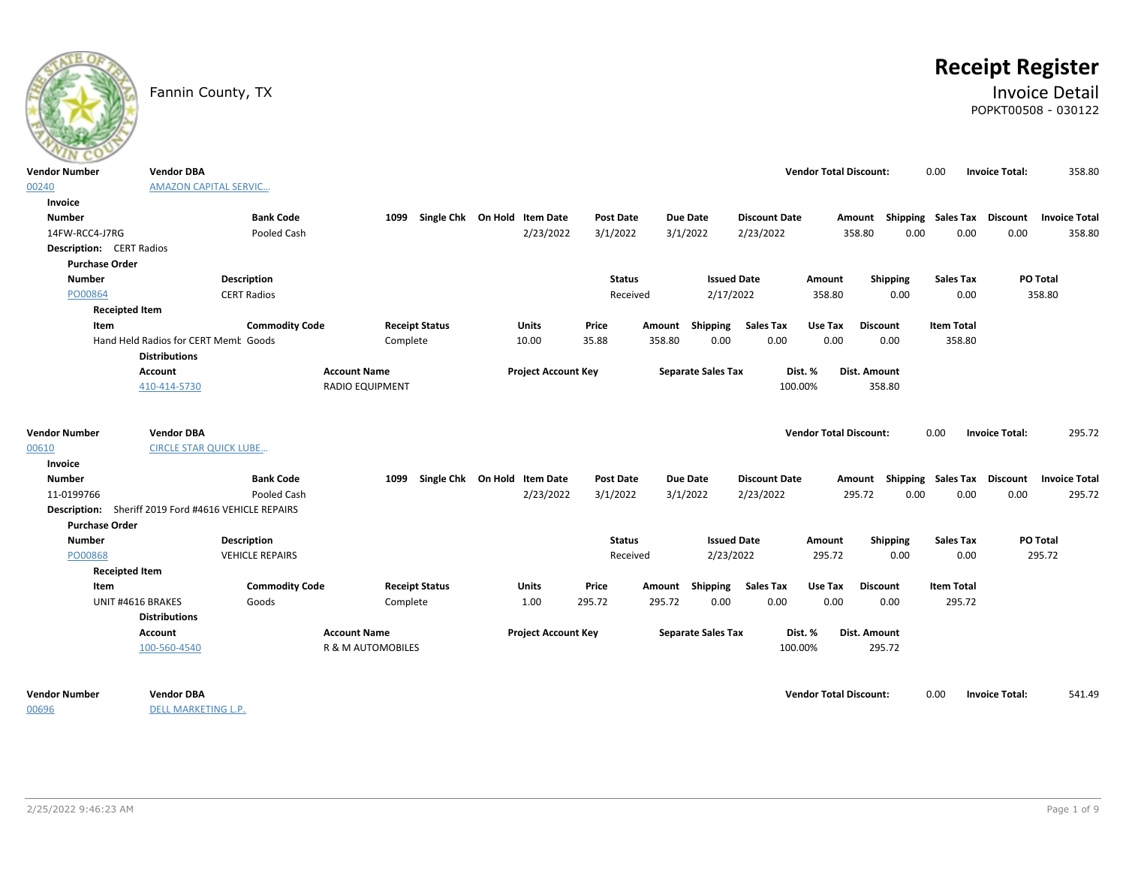# **Receipt Register**

# Fannin County, TX **Invoice Detail** POPKT00508 - 030122

| $\sim$                          |                                                              |                        |                              |                                   |                            |                  |        |                           |                      |                               |                                    |                   |                       |                 |                      |
|---------------------------------|--------------------------------------------------------------|------------------------|------------------------------|-----------------------------------|----------------------------|------------------|--------|---------------------------|----------------------|-------------------------------|------------------------------------|-------------------|-----------------------|-----------------|----------------------|
| Vendor Number                   | <b>Vendor DBA</b>                                            |                        |                              |                                   |                            |                  |        |                           |                      | <b>Vendor Total Discount:</b> |                                    | 0.00              | <b>Invoice Total:</b> |                 | 358.80               |
| 00240                           | <b>AMAZON CAPITAL SERVIC</b>                                 |                        |                              |                                   |                            |                  |        |                           |                      |                               |                                    |                   |                       |                 |                      |
| Invoice                         |                                                              |                        |                              |                                   |                            |                  |        |                           |                      |                               |                                    |                   |                       |                 |                      |
| <b>Number</b>                   |                                                              | <b>Bank Code</b>       |                              | 1099 Single Chk On Hold Item Date |                            | <b>Post Date</b> |        | Due Date                  | <b>Discount Date</b> |                               | Amount Shipping Sales Tax Discount |                   |                       |                 | <b>Invoice Total</b> |
| 14FW-RCC4-J7RG                  |                                                              | Pooled Cash            |                              |                                   | 2/23/2022                  | 3/1/2022         |        | 3/1/2022                  | 2/23/2022            |                               | 358.80                             | 0.00              | 0.00                  | 0.00            | 358.80               |
| <b>Description:</b> CERT Radios |                                                              |                        |                              |                                   |                            |                  |        |                           |                      |                               |                                    |                   |                       |                 |                      |
| <b>Purchase Order</b>           |                                                              |                        |                              |                                   |                            |                  |        |                           |                      |                               |                                    |                   |                       |                 |                      |
| <b>Number</b>                   |                                                              | <b>Description</b>     |                              |                                   |                            | <b>Status</b>    |        | <b>Issued Date</b>        |                      | Amount                        | Shipping                           | <b>Sales Tax</b>  |                       | PO Total        |                      |
| PO00864                         |                                                              | <b>CERT Radios</b>     |                              |                                   |                            | Received         |        | 2/17/2022                 |                      | 358.80                        | 0.00                               |                   | 0.00                  | 358.80          |                      |
| <b>Receipted Item</b>           |                                                              |                        |                              |                                   |                            |                  |        |                           |                      |                               |                                    |                   |                       |                 |                      |
| Item                            |                                                              | <b>Commodity Code</b>  |                              | <b>Receipt Status</b>             | Units                      | Price            | Amount | Shipping                  | <b>Sales Tax</b>     | Use Tax                       | <b>Discount</b>                    | <b>Item Total</b> |                       |                 |                      |
|                                 | Hand Held Radios for CERT Memb Goods<br><b>Distributions</b> |                        | Complete                     |                                   | 10.00                      | 35.88            | 358.80 | 0.00                      | 0.00                 | 0.00                          | 0.00                               |                   | 358.80                |                 |                      |
|                                 | Account                                                      |                        | <b>Account Name</b>          |                                   | <b>Project Account Key</b> |                  |        | <b>Separate Sales Tax</b> |                      | Dist. %                       | Dist. Amount                       |                   |                       |                 |                      |
|                                 | 410-414-5730                                                 |                        | <b>RADIO EQUIPMENT</b>       |                                   |                            |                  |        |                           | 100.00%              |                               | 358.80                             |                   |                       |                 |                      |
|                                 |                                                              |                        |                              |                                   |                            |                  |        |                           |                      |                               |                                    |                   |                       |                 |                      |
| Vendor Number                   | <b>Vendor DBA</b>                                            |                        |                              |                                   |                            |                  |        |                           |                      | <b>Vendor Total Discount:</b> |                                    | 0.00              | <b>Invoice Total:</b> |                 | 295.72               |
| 00610                           | <b>CIRCLE STAR QUICK LUBE</b>                                |                        |                              |                                   |                            |                  |        |                           |                      |                               |                                    |                   |                       |                 |                      |
| Invoice                         |                                                              |                        |                              |                                   |                            |                  |        |                           |                      |                               |                                    |                   |                       |                 |                      |
| <b>Number</b>                   |                                                              | <b>Bank Code</b>       | 1099                         | Single Chk On Hold Item Date      |                            | Post Date        |        | Due Date                  | <b>Discount Date</b> |                               | Amount Shipping Sales Tax Discount |                   |                       |                 | <b>Invoice Total</b> |
| 11-0199766                      |                                                              | Pooled Cash            |                              |                                   | 2/23/2022                  | 3/1/2022         |        | 3/1/2022                  | 2/23/2022            |                               | 295.72                             | 0.00              | 0.00                  | 0.00            | 295.72               |
|                                 | Description: Sheriff 2019 Ford #4616 VEHICLE REPAIRS         |                        |                              |                                   |                            |                  |        |                           |                      |                               |                                    |                   |                       |                 |                      |
| <b>Purchase Order</b>           |                                                              |                        |                              |                                   |                            |                  |        |                           |                      |                               |                                    |                   |                       |                 |                      |
| <b>Number</b>                   |                                                              | <b>Description</b>     |                              |                                   |                            | <b>Status</b>    |        | <b>Issued Date</b>        |                      | Amount                        | <b>Shipping</b>                    | <b>Sales Tax</b>  |                       | <b>PO Total</b> |                      |
| PO00868                         |                                                              | <b>VEHICLE REPAIRS</b> |                              |                                   |                            | Received         |        | 2/23/2022                 |                      | 295.72                        | 0.00                               |                   | 0.00                  | 295.72          |                      |
| <b>Receipted Item</b>           |                                                              |                        |                              |                                   |                            |                  |        |                           |                      |                               |                                    |                   |                       |                 |                      |
| Item                            |                                                              | <b>Commodity Code</b>  |                              | <b>Receipt Status</b>             | Units                      | Price            | Amount | Shipping                  | <b>Sales Tax</b>     | Use Tax                       | <b>Discount</b>                    | <b>Item Total</b> |                       |                 |                      |
|                                 | UNIT #4616 BRAKES                                            | Goods                  | Complete                     |                                   | 1.00                       | 295.72           | 295.72 | 0.00                      | 0.00                 | 0.00                          | 0.00                               | 295.72            |                       |                 |                      |
|                                 | <b>Distributions</b>                                         |                        |                              |                                   |                            |                  |        |                           |                      |                               |                                    |                   |                       |                 |                      |
|                                 | Account                                                      |                        | <b>Account Name</b>          |                                   | <b>Project Account Key</b> |                  |        | <b>Separate Sales Tax</b> |                      | Dist. %                       | Dist. Amount                       |                   |                       |                 |                      |
|                                 | 100-560-4540                                                 |                        | <b>R &amp; M AUTOMOBILES</b> |                                   |                            |                  |        |                           | 100.00%              |                               | 295.72                             |                   |                       |                 |                      |
| Vendor Number                   | <b>Vendor DBA</b>                                            |                        |                              |                                   |                            |                  |        |                           |                      | <b>Vendor Total Discount:</b> |                                    | 0.00              | <b>Invoice Total:</b> |                 | 541.49               |
|                                 |                                                              |                        |                              |                                   |                            |                  |        |                           |                      |                               |                                    |                   |                       |                 |                      |

00696

DELL MARKETING L.P.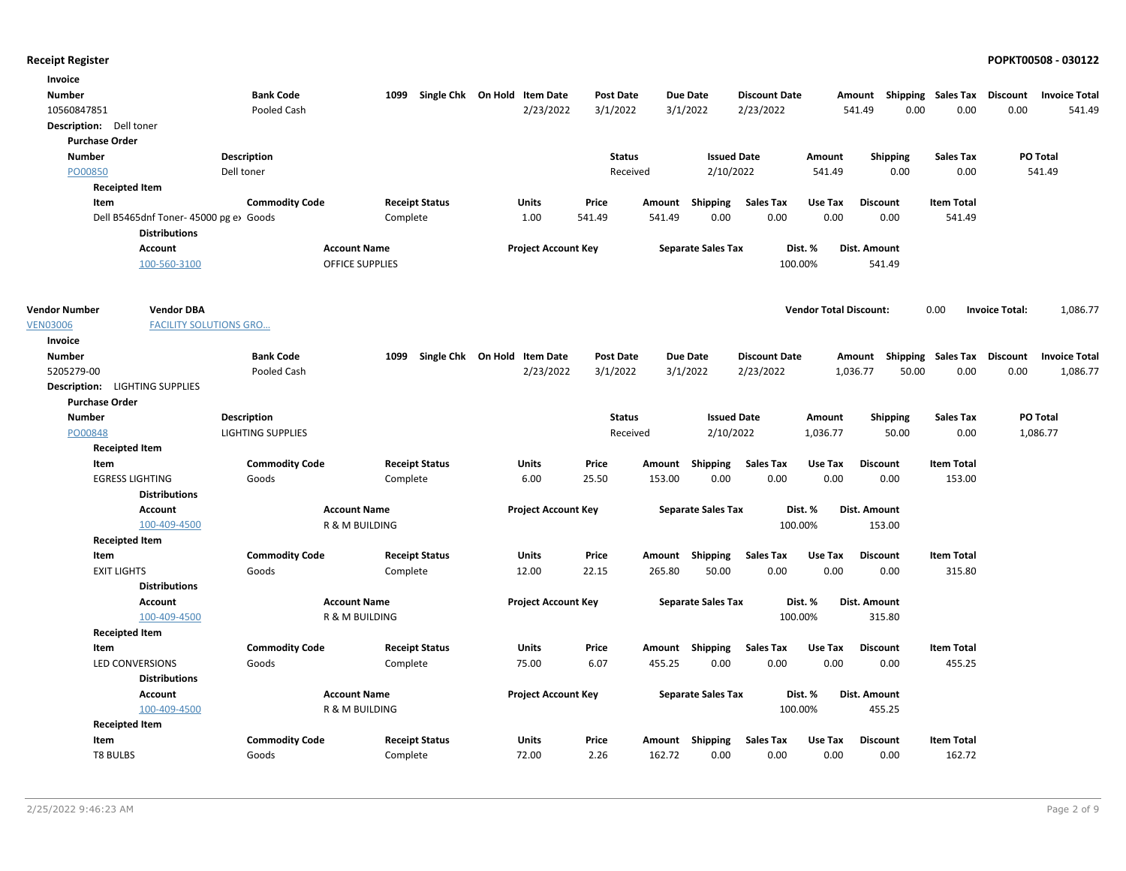| Invoice                        |                                       |                          |          |                              |                            |               |                  |                           |                      |                               |                 |                 |                                    |                       |                      |
|--------------------------------|---------------------------------------|--------------------------|----------|------------------------------|----------------------------|---------------|------------------|---------------------------|----------------------|-------------------------------|-----------------|-----------------|------------------------------------|-----------------------|----------------------|
| <b>Number</b>                  |                                       | <b>Bank Code</b>         | 1099     | Single Chk On Hold Item Date |                            | Post Date     |                  | <b>Due Date</b>           | <b>Discount Date</b> |                               |                 |                 | Amount Shipping Sales Tax Discount |                       | <b>Invoice Total</b> |
| 10560847851                    |                                       | Pooled Cash              |          |                              | 2/23/2022                  | 3/1/2022      |                  | 3/1/2022                  | 2/23/2022            |                               | 541.49          | 0.00            | 0.00                               | 0.00                  | 541.49               |
| Description: Dell toner        |                                       |                          |          |                              |                            |               |                  |                           |                      |                               |                 |                 |                                    |                       |                      |
| <b>Purchase Order</b>          |                                       |                          |          |                              |                            |               |                  |                           |                      |                               |                 |                 |                                    |                       |                      |
| <b>Number</b>                  | Description                           |                          |          |                              |                            | <b>Status</b> |                  | <b>Issued Date</b>        |                      | Amount                        |                 | Shipping        | <b>Sales Tax</b>                   |                       | <b>PO Total</b>      |
| PO00850                        | Dell toner                            |                          |          |                              |                            | Received      |                  | 2/10/2022                 |                      | 541.49                        |                 | 0.00            | 0.00                               |                       | 541.49               |
| <b>Receipted Item</b>          |                                       |                          |          |                              |                            |               |                  |                           |                      |                               |                 |                 |                                    |                       |                      |
| Item                           |                                       | <b>Commodity Code</b>    |          | <b>Receipt Status</b>        | Units                      | Price         |                  | Amount Shipping           | <b>Sales Tax</b>     | Use Tax                       | <b>Discount</b> |                 | <b>Item Total</b>                  |                       |                      |
|                                | Dell B5465dnf Toner-45000 pg e> Goods |                          | Complete |                              | 1.00                       | 541.49        | 541.49           | 0.00                      | 0.00                 | 0.00                          |                 | 0.00            | 541.49                             |                       |                      |
|                                | <b>Distributions</b>                  |                          |          |                              |                            |               |                  |                           |                      |                               |                 |                 |                                    |                       |                      |
|                                | Account                               | <b>Account Name</b>      |          |                              | <b>Project Account Key</b> |               |                  | <b>Separate Sales Tax</b> | Dist. %              |                               | Dist. Amount    |                 |                                    |                       |                      |
|                                | 100-560-3100                          | <b>OFFICE SUPPLIES</b>   |          |                              |                            |               |                  |                           | 100.00%              |                               |                 | 541.49          |                                    |                       |                      |
| <b>Vendor Number</b>           | <b>Vendor DBA</b>                     |                          |          |                              |                            |               |                  |                           |                      | <b>Vendor Total Discount:</b> |                 |                 | 0.00                               | <b>Invoice Total:</b> | 1,086.77             |
| <b>VEN03006</b>                | <b>FACILITY SOLUTIONS GRO</b>         |                          |          |                              |                            |               |                  |                           |                      |                               |                 |                 |                                    |                       |                      |
| Invoice                        |                                       |                          |          |                              |                            |               |                  |                           |                      |                               |                 |                 |                                    |                       |                      |
| <b>Number</b>                  |                                       | <b>Bank Code</b>         | 1099     | Single Chk On Hold Item Date |                            | Post Date     |                  | <b>Due Date</b>           | <b>Discount Date</b> |                               |                 |                 | Amount Shipping Sales Tax Discount |                       | <b>Invoice Total</b> |
| 5205279-00                     |                                       | Pooled Cash              |          |                              | 2/23/2022                  | 3/1/2022      |                  | 3/1/2022                  | 2/23/2022            |                               | 1,036.77        | 50.00           | 0.00                               | 0.00                  | 1,086.77             |
| Description: LIGHTING SUPPLIES |                                       |                          |          |                              |                            |               |                  |                           |                      |                               |                 |                 |                                    |                       |                      |
| <b>Purchase Order</b>          |                                       |                          |          |                              |                            |               |                  |                           |                      |                               |                 |                 |                                    |                       |                      |
| <b>Number</b>                  | <b>Description</b>                    |                          |          |                              |                            | <b>Status</b> |                  | <b>Issued Date</b>        |                      | Amount                        |                 | <b>Shipping</b> | <b>Sales Tax</b>                   |                       | PO Total             |
| PO00848                        |                                       | <b>LIGHTING SUPPLIES</b> |          |                              |                            | Received      |                  | 2/10/2022                 |                      | 1,036.77                      |                 | 50.00           | 0.00                               |                       | 1,086.77             |
| <b>Receipted Item</b>          |                                       |                          |          |                              |                            |               |                  |                           |                      |                               |                 |                 |                                    |                       |                      |
| Item                           |                                       | <b>Commodity Code</b>    |          | <b>Receipt Status</b>        | Units                      | Price         |                  | Amount Shipping           | <b>Sales Tax</b>     | Use Tax                       | <b>Discount</b> |                 | <b>Item Total</b>                  |                       |                      |
| <b>EGRESS LIGHTING</b>         |                                       | Goods                    | Complete |                              | 6.00                       | 25.50         | 153.00           | 0.00                      | 0.00                 | 0.00                          |                 | 0.00            | 153.00                             |                       |                      |
|                                | <b>Distributions</b>                  |                          |          |                              |                            |               |                  |                           |                      |                               |                 |                 |                                    |                       |                      |
|                                | Account                               | <b>Account Name</b>      |          |                              | <b>Project Account Key</b> |               |                  | <b>Separate Sales Tax</b> | Dist. %              |                               | Dist. Amount    |                 |                                    |                       |                      |
|                                | 100-409-4500                          | R & M BUILDING           |          |                              |                            |               |                  |                           | 100.00%              |                               |                 | 153.00          |                                    |                       |                      |
| <b>Receipted Item</b>          |                                       |                          |          |                              |                            |               |                  |                           |                      |                               |                 |                 |                                    |                       |                      |
| Item                           |                                       | <b>Commodity Code</b>    |          | <b>Receipt Status</b>        | Units                      | Price         |                  | Amount Shipping           | <b>Sales Tax</b>     | Use Tax                       | <b>Discount</b> |                 | <b>Item Total</b>                  |                       |                      |
| <b>EXIT LIGHTS</b>             |                                       | Goods                    | Complete |                              | 12.00                      | 22.15         | 265.80           | 50.00                     | 0.00                 | 0.00                          |                 | 0.00            | 315.80                             |                       |                      |
|                                | <b>Distributions</b>                  |                          |          |                              |                            |               |                  |                           |                      |                               |                 |                 |                                    |                       |                      |
|                                | Account                               | <b>Account Name</b>      |          |                              | <b>Project Account Key</b> |               |                  | <b>Separate Sales Tax</b> |                      | Dist. %                       | Dist. Amount    |                 |                                    |                       |                      |
|                                | 100-409-4500                          | R & M BUILDING           |          |                              |                            |               |                  |                           | 100.00%              |                               |                 | 315.80          |                                    |                       |                      |
| <b>Receipted Item</b>          |                                       |                          |          |                              |                            |               |                  |                           |                      |                               |                 |                 |                                    |                       |                      |
| Item                           |                                       | <b>Commodity Code</b>    |          | <b>Receipt Status</b>        | Units                      | Price         |                  | Amount Shipping           | <b>Sales Tax</b>     | Use Tax                       | <b>Discount</b> |                 | <b>Item Total</b>                  |                       |                      |
| <b>LED CONVERSIONS</b>         |                                       | Goods                    | Complete |                              | 75.00                      | 6.07          | 455.25           | 0.00                      | 0.00                 | 0.00                          |                 | 0.00            | 455.25                             |                       |                      |
|                                | <b>Distributions</b>                  |                          |          |                              |                            |               |                  |                           |                      |                               |                 |                 |                                    |                       |                      |
|                                | <b>Account</b>                        | <b>Account Name</b>      |          |                              | <b>Project Account Key</b> |               |                  | <b>Separate Sales Tax</b> | Dist. %              |                               | Dist. Amount    |                 |                                    |                       |                      |
|                                | 100-409-4500                          | R & M BUILDING           |          |                              |                            |               |                  |                           | 100.00%              |                               |                 | 455.25          |                                    |                       |                      |
| <b>Receipted Item</b><br>Item  |                                       | <b>Commodity Code</b>    |          | <b>Receipt Status</b>        |                            |               |                  | Shipping                  | <b>Sales Tax</b>     | Use Tax                       | <b>Discount</b> |                 | <b>Item Total</b>                  |                       |                      |
| <b>T8 BULBS</b>                |                                       | Goods                    |          |                              | Units<br>72.00             | Price<br>2.26 | Amount<br>162.72 | 0.00                      | 0.00                 | 0.00                          |                 | 0.00            | 162.72                             |                       |                      |
|                                |                                       |                          | Complete |                              |                            |               |                  |                           |                      |                               |                 |                 |                                    |                       |                      |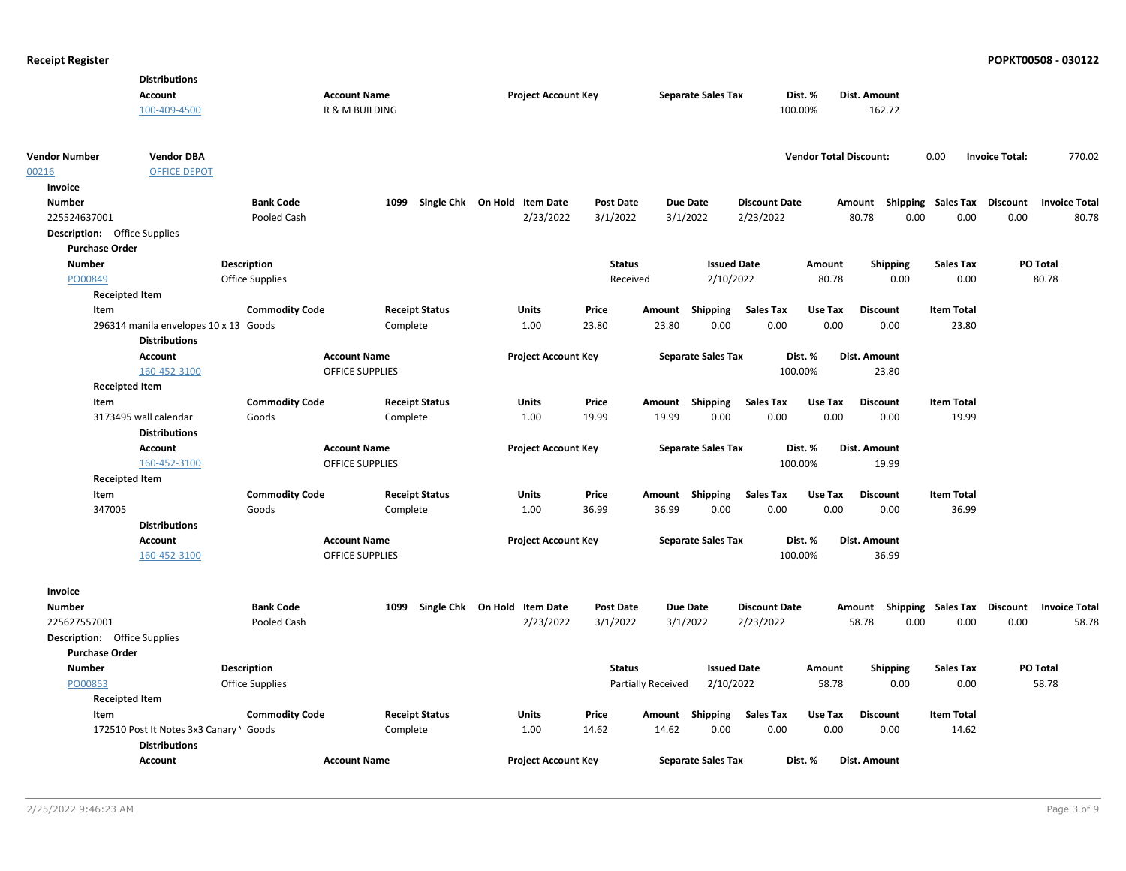|                                     | <b>Distributions</b>                    |                        |                        |                              |                  |                           |                           |                      |                               |                                    |                   |                                  |        |
|-------------------------------------|-----------------------------------------|------------------------|------------------------|------------------------------|------------------|---------------------------|---------------------------|----------------------|-------------------------------|------------------------------------|-------------------|----------------------------------|--------|
|                                     | <b>Account</b>                          |                        | <b>Account Name</b>    | <b>Project Account Key</b>   |                  |                           | <b>Separate Sales Tax</b> |                      | Dist. %                       | Dist. Amount                       |                   |                                  |        |
|                                     | 100-409-4500                            |                        | R & M BUILDING         |                              |                  |                           |                           |                      | 100.00%                       | 162.72                             |                   |                                  |        |
|                                     |                                         |                        |                        |                              |                  |                           |                           |                      |                               |                                    |                   |                                  |        |
|                                     |                                         |                        |                        |                              |                  |                           |                           |                      |                               |                                    |                   |                                  |        |
| <b>Vendor Number</b>                | <b>Vendor DBA</b>                       |                        |                        |                              |                  |                           |                           |                      | <b>Vendor Total Discount:</b> |                                    | 0.00              | <b>Invoice Total:</b>            | 770.02 |
| 00216                               | <b>OFFICE DEPOT</b>                     |                        |                        |                              |                  |                           |                           |                      |                               |                                    |                   |                                  |        |
| Invoice                             |                                         |                        |                        |                              |                  |                           |                           |                      |                               |                                    |                   |                                  |        |
| <b>Number</b>                       |                                         | <b>Bank Code</b>       | 1099                   | Single Chk On Hold Item Date | Post Date        |                           | <b>Due Date</b>           | <b>Discount Date</b> |                               | Amount Shipping Sales Tax          |                   | Discount<br><b>Invoice Total</b> |        |
| 225524637001                        |                                         | Pooled Cash            |                        | 2/23/2022                    | 3/1/2022         |                           | 3/1/2022                  | 2/23/2022            |                               | 80.78<br>0.00                      | 0.00              | 0.00                             | 80.78  |
| <b>Description:</b> Office Supplies |                                         |                        |                        |                              |                  |                           |                           |                      |                               |                                    |                   |                                  |        |
| <b>Purchase Order</b>               |                                         |                        |                        |                              |                  |                           |                           |                      |                               |                                    |                   |                                  |        |
| <b>Number</b>                       |                                         | <b>Description</b>     |                        |                              | <b>Status</b>    |                           | <b>Issued Date</b>        |                      | Amount                        | <b>Shipping</b>                    | <b>Sales Tax</b>  | PO Total                         |        |
| PO00849                             |                                         | Office Supplies        |                        |                              | Received         |                           | 2/10/2022                 |                      | 80.78                         | 0.00                               | 0.00              | 80.78                            |        |
| <b>Receipted Item</b>               |                                         |                        |                        |                              |                  |                           |                           |                      |                               |                                    |                   |                                  |        |
| Item                                |                                         | <b>Commodity Code</b>  | <b>Receipt Status</b>  | <b>Units</b>                 | Price            |                           | Amount Shipping           | <b>Sales Tax</b>     | Use Tax                       | <b>Discount</b>                    | <b>Item Total</b> |                                  |        |
|                                     |                                         |                        |                        |                              | 23.80            | 23.80                     | 0.00                      | 0.00                 | 0.00                          |                                    | 23.80             |                                  |        |
|                                     | 296314 manila envelopes 10 x 13 Goods   |                        | Complete               | 1.00                         |                  |                           |                           |                      |                               | 0.00                               |                   |                                  |        |
|                                     | <b>Distributions</b>                    |                        |                        |                              |                  |                           |                           |                      |                               |                                    |                   |                                  |        |
|                                     | <b>Account</b>                          |                        | <b>Account Name</b>    | <b>Project Account Key</b>   |                  |                           | <b>Separate Sales Tax</b> |                      | Dist. %                       | Dist. Amount                       |                   |                                  |        |
|                                     | 160-452-3100                            |                        | <b>OFFICE SUPPLIES</b> |                              |                  |                           |                           |                      | 100.00%                       | 23.80                              |                   |                                  |        |
| <b>Receipted Item</b>               |                                         |                        |                        |                              |                  |                           |                           |                      |                               |                                    |                   |                                  |        |
| Item                                |                                         | <b>Commodity Code</b>  | <b>Receipt Status</b>  | <b>Units</b>                 | Price            |                           | Amount Shipping           | <b>Sales Tax</b>     | Use Tax                       | <b>Discount</b>                    | <b>Item Total</b> |                                  |        |
|                                     | 3173495 wall calendar                   | Goods                  | Complete               | 1.00                         | 19.99            | 19.99                     | 0.00                      | 0.00                 | 0.00                          | 0.00                               | 19.99             |                                  |        |
|                                     | <b>Distributions</b>                    |                        |                        |                              |                  |                           |                           |                      |                               |                                    |                   |                                  |        |
|                                     | <b>Account</b>                          |                        | <b>Account Name</b>    | <b>Project Account Key</b>   |                  |                           | <b>Separate Sales Tax</b> |                      | Dist. %                       | Dist. Amount                       |                   |                                  |        |
|                                     | 160-452-3100                            |                        | OFFICE SUPPLIES        |                              |                  |                           |                           |                      | 100.00%                       | 19.99                              |                   |                                  |        |
| <b>Receipted Item</b>               |                                         |                        |                        |                              |                  |                           |                           |                      |                               |                                    |                   |                                  |        |
| <b>Item</b>                         |                                         | <b>Commodity Code</b>  | <b>Receipt Status</b>  | <b>Units</b>                 | Price            |                           | Amount Shipping           | <b>Sales Tax</b>     | Use Tax                       | <b>Discount</b>                    | <b>Item Total</b> |                                  |        |
| 347005                              |                                         | Goods                  | Complete               | 1.00                         | 36.99            | 36.99                     | 0.00                      | 0.00                 | 0.00                          | 0.00                               | 36.99             |                                  |        |
|                                     | <b>Distributions</b>                    |                        |                        |                              |                  |                           |                           |                      |                               |                                    |                   |                                  |        |
|                                     | <b>Account</b>                          |                        | <b>Account Name</b>    | <b>Project Account Key</b>   |                  |                           | <b>Separate Sales Tax</b> |                      | Dist. %                       | Dist. Amount                       |                   |                                  |        |
|                                     | 160-452-3100                            |                        | <b>OFFICE SUPPLIES</b> |                              |                  |                           |                           |                      | 100.00%                       | 36.99                              |                   |                                  |        |
|                                     |                                         |                        |                        |                              |                  |                           |                           |                      |                               |                                    |                   |                                  |        |
|                                     |                                         |                        |                        |                              |                  |                           |                           |                      |                               |                                    |                   |                                  |        |
| Invoice                             |                                         |                        |                        |                              |                  |                           |                           |                      |                               |                                    |                   |                                  |        |
| <b>Number</b>                       |                                         | <b>Bank Code</b>       | 1099                   | Single Chk On Hold Item Date | <b>Post Date</b> |                           | <b>Due Date</b>           | <b>Discount Date</b> |                               | Amount Shipping Sales Tax Discount |                   | <b>Invoice Total</b>             |        |
| 225627557001                        |                                         | Pooled Cash            |                        | 2/23/2022                    | 3/1/2022         |                           | 3/1/2022                  | 2/23/2022            |                               | 58.78<br>0.00                      | 0.00              | 0.00                             | 58.78  |
| <b>Description:</b> Office Supplies |                                         |                        |                        |                              |                  |                           |                           |                      |                               |                                    |                   |                                  |        |
| <b>Purchase Order</b>               |                                         |                        |                        |                              |                  |                           |                           |                      |                               |                                    |                   |                                  |        |
| <b>Number</b>                       |                                         | <b>Description</b>     |                        |                              | <b>Status</b>    |                           | <b>Issued Date</b>        |                      | Amount                        | <b>Shipping</b>                    | <b>Sales Tax</b>  | PO Total                         |        |
| PO00853                             |                                         | <b>Office Supplies</b> |                        |                              |                  | <b>Partially Received</b> | 2/10/2022                 |                      | 58.78                         | 0.00                               | 0.00              | 58.78                            |        |
| <b>Receipted Item</b>               |                                         |                        |                        |                              |                  |                           |                           |                      |                               |                                    |                   |                                  |        |
| Item                                |                                         | <b>Commodity Code</b>  | <b>Receipt Status</b>  | <b>Units</b>                 | Price            |                           | Amount Shipping           | <b>Sales Tax</b>     | Use Tax                       | <b>Discount</b>                    | <b>Item Total</b> |                                  |        |
|                                     | 172510 Post It Notes 3x3 Canary \ Goods |                        | Complete               | 1.00                         | 14.62            | 14.62                     | 0.00                      | 0.00                 | 0.00                          | 0.00                               | 14.62             |                                  |        |
|                                     | <b>Distributions</b>                    |                        |                        |                              |                  |                           |                           |                      |                               |                                    |                   |                                  |        |
|                                     | Account                                 |                        | <b>Account Name</b>    | <b>Project Account Key</b>   |                  |                           | <b>Separate Sales Tax</b> |                      | Dist. %                       | Dist. Amount                       |                   |                                  |        |
|                                     |                                         |                        |                        |                              |                  |                           |                           |                      |                               |                                    |                   |                                  |        |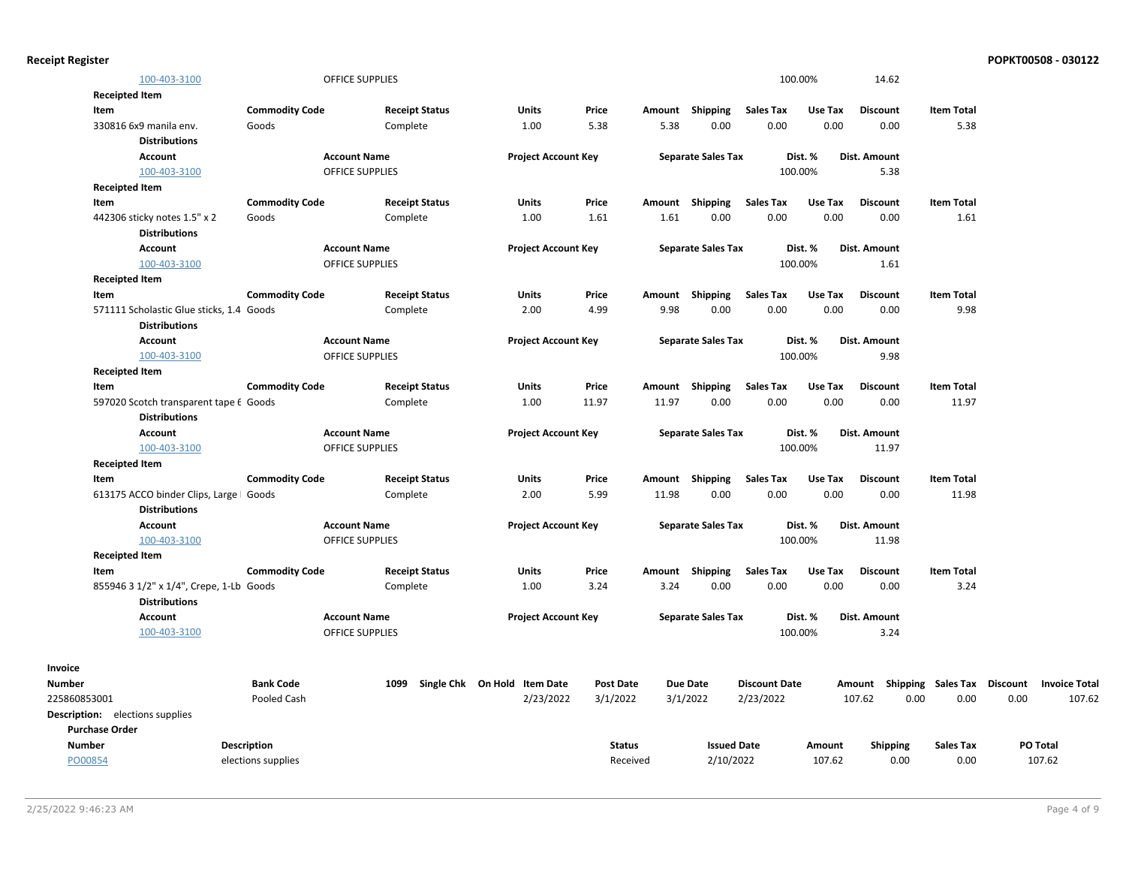| <b>Receipt Register</b> |  |  |  |
|-------------------------|--|--|--|
|-------------------------|--|--|--|

|                                        | 100-403-3100                                                    |                       | <b>OFFICE SUPPLIES</b> |                              |                            |                  |        |                           |                      | 100.00% | 14.62                              |                   |      |                      |
|----------------------------------------|-----------------------------------------------------------------|-----------------------|------------------------|------------------------------|----------------------------|------------------|--------|---------------------------|----------------------|---------|------------------------------------|-------------------|------|----------------------|
| <b>Receipted Item</b>                  |                                                                 |                       |                        |                              |                            |                  |        |                           |                      |         |                                    |                   |      |                      |
| Item                                   |                                                                 | <b>Commodity Code</b> |                        | <b>Receipt Status</b>        | <b>Units</b>               | Price            |        | Amount Shipping           | <b>Sales Tax</b>     | Use Tax | <b>Discount</b>                    | <b>Item Total</b> |      |                      |
| 330816 6x9 manila env.                 |                                                                 | Goods                 |                        | Complete                     | 1.00                       | 5.38             | 5.38   | 0.00                      | 0.00                 | 0.00    | 0.00                               | 5.38              |      |                      |
|                                        | <b>Distributions</b>                                            |                       |                        |                              |                            |                  |        |                           |                      |         |                                    |                   |      |                      |
|                                        | <b>Account</b>                                                  |                       | <b>Account Name</b>    |                              | <b>Project Account Key</b> |                  |        | <b>Separate Sales Tax</b> |                      | Dist. % | Dist. Amount                       |                   |      |                      |
|                                        | 100-403-3100                                                    |                       | <b>OFFICE SUPPLIES</b> |                              |                            |                  |        |                           |                      | 100.00% | 5.38                               |                   |      |                      |
| <b>Receipted Item</b>                  |                                                                 |                       |                        |                              |                            |                  |        |                           |                      |         |                                    |                   |      |                      |
| Item                                   |                                                                 | <b>Commodity Code</b> |                        | <b>Receipt Status</b>        | Units                      | Price            |        | Amount Shipping           | <b>Sales Tax</b>     | Use Tax | <b>Discount</b>                    | <b>Item Total</b> |      |                      |
|                                        | 442306 sticky notes 1.5" x 2                                    | Goods                 |                        | Complete                     | 1.00                       | 1.61             | 1.61   | 0.00                      | 0.00                 | 0.00    | 0.00                               | 1.61              |      |                      |
|                                        | <b>Distributions</b>                                            |                       |                        |                              |                            |                  |        |                           |                      |         |                                    |                   |      |                      |
|                                        | <b>Account</b>                                                  |                       | <b>Account Name</b>    |                              | <b>Project Account Key</b> |                  |        | <b>Separate Sales Tax</b> |                      | Dist. % | Dist. Amount                       |                   |      |                      |
|                                        | 100-403-3100                                                    |                       | <b>OFFICE SUPPLIES</b> |                              |                            |                  |        |                           |                      | 100.00% | 1.61                               |                   |      |                      |
| <b>Receipted Item</b>                  |                                                                 |                       |                        |                              |                            |                  |        |                           |                      |         |                                    |                   |      |                      |
| Item                                   |                                                                 | <b>Commodity Code</b> |                        | <b>Receipt Status</b>        | Units                      | Price            | Amount | <b>Shipping</b>           | <b>Sales Tax</b>     | Use Tax | <b>Discount</b>                    | <b>Item Total</b> |      |                      |
|                                        | 571111 Scholastic Glue sticks, 1.4 Goods                        |                       |                        | Complete                     | 2.00                       | 4.99             | 9.98   | 0.00                      | 0.00                 | 0.00    | 0.00                               | 9.98              |      |                      |
|                                        | <b>Distributions</b>                                            |                       |                        |                              |                            |                  |        |                           |                      |         |                                    |                   |      |                      |
|                                        | <b>Account</b>                                                  |                       | <b>Account Name</b>    |                              | <b>Project Account Key</b> |                  |        | <b>Separate Sales Tax</b> |                      | Dist. % | Dist. Amount                       |                   |      |                      |
|                                        | 100-403-3100                                                    |                       | <b>OFFICE SUPPLIES</b> |                              |                            |                  |        |                           |                      | 100.00% | 9.98                               |                   |      |                      |
| <b>Receipted Item</b>                  |                                                                 |                       |                        |                              |                            |                  |        |                           |                      |         |                                    |                   |      |                      |
| Item                                   |                                                                 | <b>Commodity Code</b> |                        | <b>Receipt Status</b>        | Units                      | Price            |        | Amount Shipping           | <b>Sales Tax</b>     | Use Tax | <b>Discount</b>                    | <b>Item Total</b> |      |                      |
|                                        | 597020 Scotch transparent tape 6 Goods                          |                       |                        | Complete                     | 1.00                       | 11.97            | 11.97  | 0.00                      | 0.00                 | 0.00    | 0.00                               | 11.97             |      |                      |
|                                        | <b>Distributions</b>                                            |                       |                        |                              |                            |                  |        |                           |                      |         |                                    |                   |      |                      |
|                                        | <b>Account</b>                                                  |                       | <b>Account Name</b>    |                              | <b>Project Account Key</b> |                  |        | <b>Separate Sales Tax</b> |                      | Dist. % | Dist. Amount                       |                   |      |                      |
|                                        | 100-403-3100                                                    |                       | <b>OFFICE SUPPLIES</b> |                              |                            |                  |        |                           |                      | 100.00% | 11.97                              |                   |      |                      |
| <b>Receipted Item</b>                  |                                                                 |                       |                        |                              |                            |                  |        |                           |                      |         |                                    |                   |      |                      |
| Item                                   |                                                                 | <b>Commodity Code</b> |                        | <b>Receipt Status</b>        | Units                      | Price            |        | Amount Shipping           | <b>Sales Tax</b>     | Use Tax | <b>Discount</b>                    | <b>Item Total</b> |      |                      |
|                                        | 613175 ACCO binder Clips, Large   Goods<br><b>Distributions</b> |                       |                        | Complete                     | 2.00                       | 5.99             | 11.98  | 0.00                      | 0.00                 | 0.00    | 0.00                               | 11.98             |      |                      |
|                                        | <b>Account</b>                                                  |                       | <b>Account Name</b>    |                              | <b>Project Account Key</b> |                  |        | <b>Separate Sales Tax</b> |                      | Dist. % | Dist. Amount                       |                   |      |                      |
|                                        | 100-403-3100                                                    |                       | <b>OFFICE SUPPLIES</b> |                              |                            |                  |        |                           |                      | 100.00% | 11.98                              |                   |      |                      |
| <b>Receipted Item</b>                  |                                                                 |                       |                        |                              |                            |                  |        |                           |                      |         |                                    |                   |      |                      |
| Item                                   |                                                                 | <b>Commodity Code</b> |                        | <b>Receipt Status</b>        | Units                      | Price            | Amount | <b>Shipping</b>           | <b>Sales Tax</b>     | Use Tax | <b>Discount</b>                    | <b>Item Total</b> |      |                      |
|                                        | 855946 3 1/2" x 1/4", Crepe, 1-Lb Goods                         |                       |                        | Complete                     | 1.00                       | 3.24             | 3.24   | 0.00                      | 0.00                 | 0.00    | 0.00                               | 3.24              |      |                      |
|                                        | <b>Distributions</b>                                            |                       |                        |                              |                            |                  |        |                           |                      |         |                                    |                   |      |                      |
|                                        | <b>Account</b>                                                  |                       | <b>Account Name</b>    |                              | <b>Project Account Key</b> |                  |        | <b>Separate Sales Tax</b> |                      | Dist. % | <b>Dist. Amount</b>                |                   |      |                      |
|                                        | 100-403-3100                                                    |                       | OFFICE SUPPLIES        |                              |                            |                  |        |                           |                      | 100.00% | 3.24                               |                   |      |                      |
| Invoice                                |                                                                 |                       |                        |                              |                            |                  |        |                           |                      |         |                                    |                   |      |                      |
| <b>Number</b>                          |                                                                 | <b>Bank Code</b>      | 1099                   | Single Chk On Hold Item Date |                            | <b>Post Date</b> |        | <b>Due Date</b>           | <b>Discount Date</b> |         | Amount Shipping Sales Tax Discount |                   |      | <b>Invoice Total</b> |
| 225860853001                           |                                                                 | Pooled Cash           |                        |                              | 2/23/2022                  | 3/1/2022         |        | 3/1/2022                  | 2/23/2022            |         | 107.62<br>0.00                     | 0.00              | 0.00 | 107.62               |
| <b>Description:</b> elections supplies |                                                                 |                       |                        |                              |                            |                  |        |                           |                      |         |                                    |                   |      |                      |
| <b>Purchase Order</b>                  |                                                                 |                       |                        |                              |                            |                  |        |                           |                      |         |                                    |                   |      |                      |
| <b>Number</b>                          |                                                                 | Description           |                        |                              |                            | <b>Status</b>    |        | <b>Issued Date</b>        |                      | Amount  | <b>Shipping</b>                    | <b>Sales Tax</b>  |      | PO Total             |
|                                        |                                                                 |                       |                        |                              |                            |                  |        |                           |                      |         |                                    |                   |      |                      |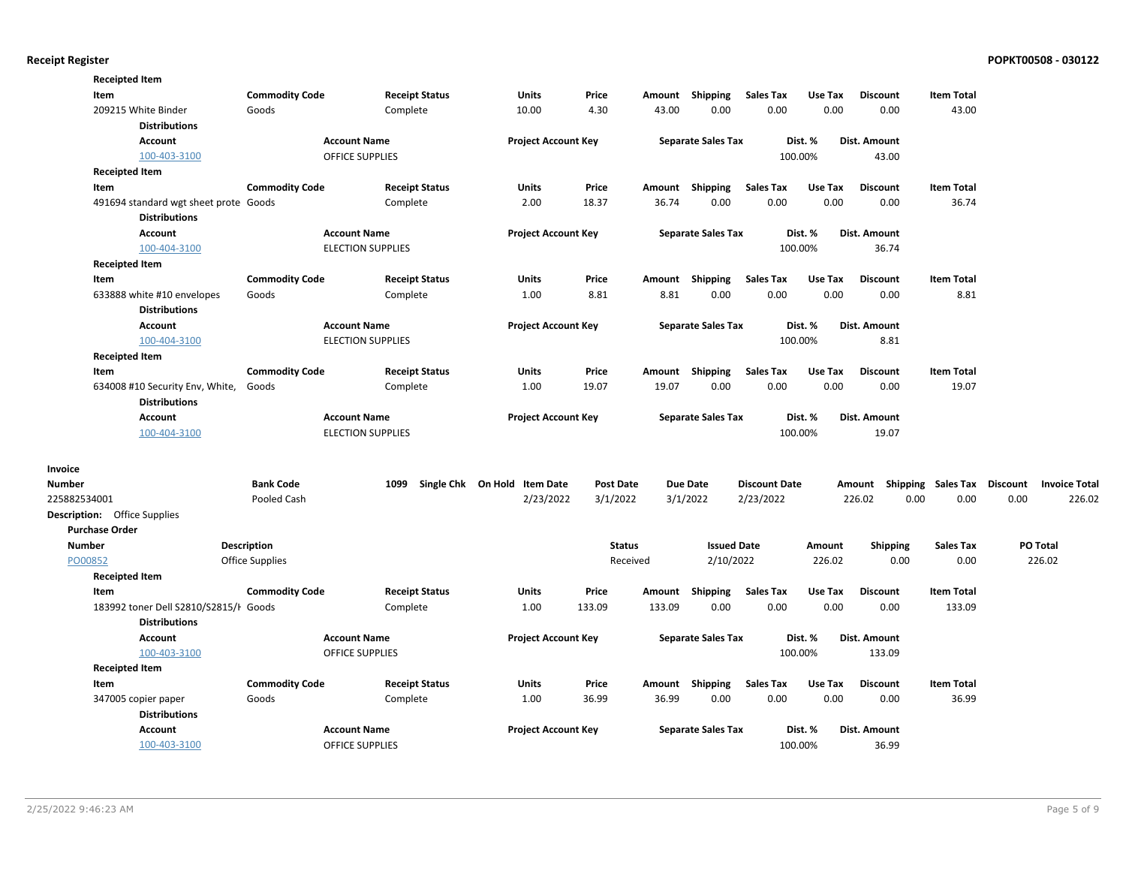|               | <b>Receipted Item</b>                 |                       |                          |                              |                  |        |                           |                      |         |                     |                    |                 |                      |
|---------------|---------------------------------------|-----------------------|--------------------------|------------------------------|------------------|--------|---------------------------|----------------------|---------|---------------------|--------------------|-----------------|----------------------|
|               | Item                                  | <b>Commodity Code</b> | <b>Receipt Status</b>    | <b>Units</b>                 | Price            | Amount | Shipping                  | <b>Sales Tax</b>     | Use Tax | <b>Discount</b>     | <b>Item Total</b>  |                 |                      |
|               | 209215 White Binder                   | Goods                 | Complete                 | 10.00                        | 4.30             | 43.00  | 0.00                      | 0.00                 | 0.00    | 0.00                | 43.00              |                 |                      |
|               | <b>Distributions</b>                  |                       |                          |                              |                  |        |                           |                      |         |                     |                    |                 |                      |
|               | <b>Account</b>                        |                       | <b>Account Name</b>      | <b>Project Account Key</b>   |                  |        | <b>Separate Sales Tax</b> |                      | Dist. % | <b>Dist. Amount</b> |                    |                 |                      |
|               | 100-403-3100                          |                       | <b>OFFICE SUPPLIES</b>   |                              |                  |        |                           |                      | 100.00% | 43.00               |                    |                 |                      |
|               | <b>Receipted Item</b>                 |                       |                          |                              |                  |        |                           |                      |         |                     |                    |                 |                      |
|               | Item                                  | <b>Commodity Code</b> | <b>Receipt Status</b>    | <b>Units</b>                 | Price            |        | Amount Shipping           | <b>Sales Tax</b>     | Use Tax | <b>Discount</b>     | <b>Item Total</b>  |                 |                      |
|               | 491694 standard wgt sheet prote Goods |                       | Complete                 | 2.00                         | 18.37            | 36.74  | 0.00                      | 0.00                 | 0.00    | 0.00                | 36.74              |                 |                      |
|               | <b>Distributions</b>                  |                       |                          |                              |                  |        |                           |                      |         |                     |                    |                 |                      |
|               | <b>Account</b>                        |                       | <b>Account Name</b>      | <b>Project Account Key</b>   |                  |        | <b>Separate Sales Tax</b> |                      | Dist. % | <b>Dist. Amount</b> |                    |                 |                      |
|               | 100-404-3100                          |                       | <b>ELECTION SUPPLIES</b> |                              |                  |        |                           |                      | 100.00% | 36.74               |                    |                 |                      |
|               | <b>Receipted Item</b>                 |                       |                          |                              |                  |        |                           |                      |         |                     |                    |                 |                      |
|               | Item                                  | <b>Commodity Code</b> | <b>Receipt Status</b>    | <b>Units</b>                 | Price            |        | Amount Shipping           | <b>Sales Tax</b>     | Use Tax | <b>Discount</b>     | <b>Item Total</b>  |                 |                      |
|               | 633888 white #10 envelopes            | Goods                 | Complete                 | 1.00                         | 8.81             | 8.81   | 0.00                      | 0.00                 | 0.00    | 0.00                | 8.81               |                 |                      |
|               | <b>Distributions</b>                  |                       |                          |                              |                  |        |                           |                      |         |                     |                    |                 |                      |
|               | <b>Account</b>                        |                       | <b>Account Name</b>      | <b>Project Account Key</b>   |                  |        | <b>Separate Sales Tax</b> |                      | Dist. % | Dist. Amount        |                    |                 |                      |
|               | 100-404-3100                          |                       | <b>ELECTION SUPPLIES</b> |                              |                  |        |                           |                      | 100.00% | 8.81                |                    |                 |                      |
|               | <b>Receipted Item</b>                 |                       |                          |                              |                  |        |                           |                      |         |                     |                    |                 |                      |
|               | Item                                  | <b>Commodity Code</b> | <b>Receipt Status</b>    | <b>Units</b>                 | Price            | Amount | Shipping                  | <b>Sales Tax</b>     | Use Tax | <b>Discount</b>     | <b>Item Total</b>  |                 |                      |
|               | 634008 #10 Security Env, White,       | Goods                 | Complete                 | 1.00                         | 19.07            | 19.07  | 0.00                      | 0.00                 | 0.00    | 0.00                | 19.07              |                 |                      |
|               | <b>Distributions</b>                  |                       |                          |                              |                  |        |                           |                      |         |                     |                    |                 |                      |
|               | Account                               |                       | <b>Account Name</b>      | <b>Project Account Key</b>   |                  |        | <b>Separate Sales Tax</b> |                      | Dist. % | Dist. Amount        |                    |                 |                      |
|               | 100-404-3100                          |                       | <b>ELECTION SUPPLIES</b> |                              |                  |        |                           |                      | 100.00% | 19.07               |                    |                 |                      |
|               |                                       |                       |                          |                              |                  |        |                           |                      |         |                     |                    |                 |                      |
| Invoice       |                                       |                       |                          |                              |                  |        |                           |                      |         |                     |                    |                 |                      |
| <b>Number</b> |                                       | <b>Bank Code</b>      | 1099                     | Single Chk On Hold Item Date | <b>Post Date</b> |        | <b>Due Date</b>           | <b>Discount Date</b> |         | Amount              | Shipping Sales Tax | <b>Discount</b> | <b>Invoice Total</b> |
| 225882534001  |                                       | Pooled Cash           |                          | 2/23/2022                    | 3/1/2022         |        | 3/1/2022                  | 2/23/2022            |         | 226.02<br>0.00      | 0.00               | 0.00            | 226.02               |
|               | <b>Description:</b> Office Supplies   |                       |                          |                              |                  |        |                           |                      |         |                     |                    |                 |                      |
|               | <b>Purchase Order</b>                 |                       |                          |                              |                  |        |                           |                      |         |                     |                    |                 |                      |
| <b>Number</b> |                                       | Description           |                          |                              | <b>Status</b>    |        | <b>Issued Date</b>        |                      | Amount  | <b>Shipping</b>     | <b>Sales Tax</b>   |                 | PO Total             |
| PO00852       |                                       | Office Supplies       |                          |                              | Received         |        | 2/10/2022                 |                      | 226.02  | 0.00                | 0.00               |                 | 226.02               |
|               | <b>Receipted Item</b>                 |                       |                          |                              |                  |        |                           |                      |         |                     |                    |                 |                      |
|               | Item                                  | <b>Commodity Code</b> | <b>Receipt Status</b>    | <b>Units</b>                 | Price            | Amount | Shipping                  | <b>Sales Tax</b>     | Use Tax | <b>Discount</b>     | <b>Item Total</b>  |                 |                      |
|               | 183992 toner Dell S2810/S2815/H Goods |                       | Complete                 | 1.00                         | 133.09           | 133.09 | 0.00                      | 0.00                 | 0.00    | 0.00                | 133.09             |                 |                      |
|               | <b>Distributions</b>                  |                       |                          |                              |                  |        |                           |                      |         |                     |                    |                 |                      |
|               | <b>Account</b>                        |                       | <b>Account Name</b>      | <b>Project Account Key</b>   |                  |        | <b>Separate Sales Tax</b> |                      | Dist. % | Dist. Amount        |                    |                 |                      |
|               | 100-403-3100                          |                       | <b>OFFICE SUPPLIES</b>   |                              |                  |        |                           |                      | 100.00% | 133.09              |                    |                 |                      |
|               | <b>Receipted Item</b>                 |                       |                          |                              |                  |        |                           |                      |         |                     |                    |                 |                      |
|               | Item                                  | <b>Commodity Code</b> | <b>Receipt Status</b>    | Units                        | Price            |        | Amount Shipping           | <b>Sales Tax</b>     | Use Tax | <b>Discount</b>     | <b>Item Total</b>  |                 |                      |
|               | 347005 copier paper                   | Goods                 | Complete                 | 1.00                         | 36.99            | 36.99  | 0.00                      | 0.00                 | 0.00    | 0.00                | 36.99              |                 |                      |
|               | <b>Distributions</b>                  |                       |                          |                              |                  |        |                           |                      |         |                     |                    |                 |                      |
|               | Account                               |                       | <b>Account Name</b>      | <b>Project Account Key</b>   |                  |        | <b>Separate Sales Tax</b> |                      | Dist. % | Dist. Amount        |                    |                 |                      |
|               | 100-403-3100                          |                       | <b>OFFICE SUPPLIES</b>   |                              |                  |        |                           |                      | 100.00% | 36.99               |                    |                 |                      |
|               |                                       |                       |                          |                              |                  |        |                           |                      |         |                     |                    |                 |                      |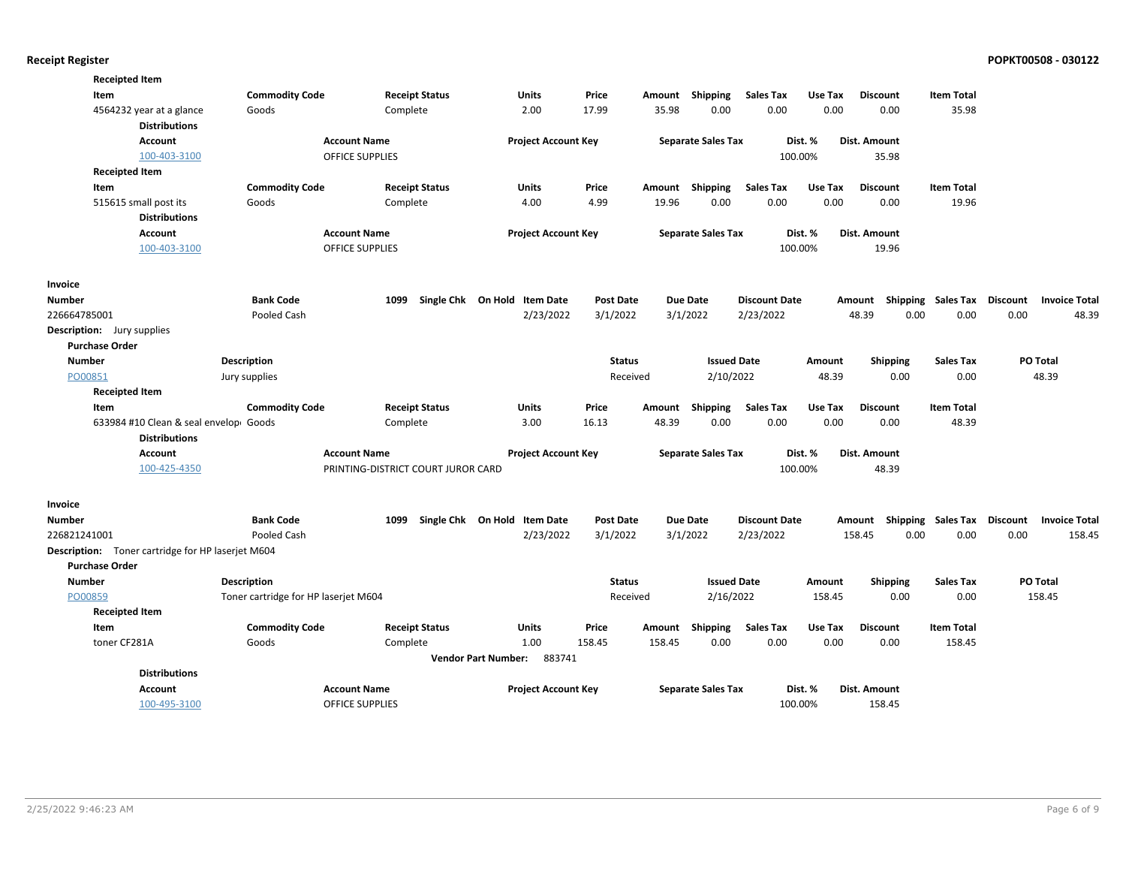| <b>Receipted Item</b>                                          |                                      |                                    |                                      |                  |        |                           |                      |         |                                    |                   |                      |  |
|----------------------------------------------------------------|--------------------------------------|------------------------------------|--------------------------------------|------------------|--------|---------------------------|----------------------|---------|------------------------------------|-------------------|----------------------|--|
| Item                                                           | <b>Commodity Code</b>                | <b>Receipt Status</b>              | Units                                | Price            | Amount | Shipping                  | <b>Sales Tax</b>     | Use Tax | <b>Discount</b>                    | <b>Item Total</b> |                      |  |
| 4564232 year at a glance<br><b>Distributions</b>               | Goods                                | Complete                           | 2.00                                 | 17.99            | 35.98  | 0.00                      | 0.00                 | 0.00    | 0.00                               | 35.98             |                      |  |
| <b>Account</b>                                                 |                                      | <b>Account Name</b>                | <b>Project Account Key</b>           |                  |        | <b>Separate Sales Tax</b> |                      | Dist. % | Dist. Amount                       |                   |                      |  |
| 100-403-3100                                                   |                                      | <b>OFFICE SUPPLIES</b>             |                                      |                  |        |                           | 100.00%              |         | 35.98                              |                   |                      |  |
| <b>Receipted Item</b>                                          |                                      |                                    |                                      |                  |        |                           |                      |         |                                    |                   |                      |  |
| Item                                                           | <b>Commodity Code</b>                | <b>Receipt Status</b>              | Units                                | Price            |        | Amount Shipping           | <b>Sales Tax</b>     | Use Tax | <b>Discount</b>                    | <b>Item Total</b> |                      |  |
| 515615 small post its                                          | Goods                                | Complete                           | 4.00                                 | 4.99             | 19.96  | 0.00                      | 0.00                 | 0.00    | 0.00                               | 19.96             |                      |  |
| <b>Distributions</b>                                           |                                      |                                    |                                      |                  |        |                           |                      |         |                                    |                   |                      |  |
| <b>Account</b>                                                 |                                      | <b>Account Name</b>                | <b>Project Account Key</b>           |                  |        | <b>Separate Sales Tax</b> |                      | Dist. % | <b>Dist. Amount</b>                |                   |                      |  |
| 100-403-3100                                                   |                                      | <b>OFFICE SUPPLIES</b>             |                                      |                  |        |                           | 100.00%              |         | 19.96                              |                   |                      |  |
| Invoice                                                        |                                      |                                    |                                      |                  |        |                           |                      |         |                                    |                   |                      |  |
| Number                                                         | <b>Bank Code</b>                     | Single Chk On Hold<br>1099         | <b>Item Date</b>                     | <b>Post Date</b> |        | <b>Due Date</b>           | <b>Discount Date</b> |         | Amount Shipping Sales Tax Discount |                   | <b>Invoice Total</b> |  |
| 226664785001                                                   | Pooled Cash                          |                                    | 2/23/2022                            | 3/1/2022         |        | 3/1/2022                  | 2/23/2022            |         | 48.39<br>0.00                      | 0.00              | 0.00<br>48.39        |  |
| Description: Jury supplies                                     |                                      |                                    |                                      |                  |        |                           |                      |         |                                    |                   |                      |  |
| <b>Purchase Order</b>                                          |                                      |                                    |                                      |                  |        |                           |                      |         |                                    |                   |                      |  |
| <b>Number</b>                                                  | <b>Description</b>                   |                                    |                                      | <b>Status</b>    |        | <b>Issued Date</b>        |                      | Amount  | <b>Shipping</b>                    | <b>Sales Tax</b>  | PO Total             |  |
| PO00851                                                        | Jury supplies                        |                                    |                                      | Received         |        | 2/10/2022                 |                      | 48.39   | 0.00                               | 0.00              | 48.39                |  |
| <b>Receipted Item</b>                                          |                                      |                                    |                                      |                  |        |                           |                      |         |                                    |                   |                      |  |
| Item                                                           | <b>Commodity Code</b>                | <b>Receipt Status</b>              | <b>Units</b>                         | Price            | Amount | Shipping                  | <b>Sales Tax</b>     | Use Tax | <b>Discount</b>                    | <b>Item Total</b> |                      |  |
| 633984 #10 Clean & seal envelopi Goods<br><b>Distributions</b> |                                      | Complete                           | 3.00                                 | 16.13            | 48.39  | 0.00                      | 0.00                 | 0.00    | 0.00                               | 48.39             |                      |  |
| Account                                                        |                                      | <b>Account Name</b>                | <b>Project Account Key</b>           |                  |        | <b>Separate Sales Tax</b> |                      | Dist. % | Dist. Amount                       |                   |                      |  |
| 100-425-4350                                                   |                                      | PRINTING-DISTRICT COURT JUROR CARD |                                      |                  |        |                           | 100.00%              |         | 48.39                              |                   |                      |  |
| Invoice                                                        |                                      |                                    |                                      |                  |        |                           |                      |         |                                    |                   |                      |  |
| Number                                                         | <b>Bank Code</b>                     |                                    | 1099 Single Chk On Hold Item Date    | <b>Post Date</b> |        | <b>Due Date</b>           | <b>Discount Date</b> |         | Amount Shipping Sales Tax Discount |                   | <b>Invoice Total</b> |  |
| 226821241001                                                   | Pooled Cash                          |                                    | 2/23/2022                            | 3/1/2022         |        | 3/1/2022                  | 2/23/2022            |         | 158.45<br>0.00                     | 0.00              | 0.00<br>158.45       |  |
| Description: Toner cartridge for HP laserjet M604              |                                      |                                    |                                      |                  |        |                           |                      |         |                                    |                   |                      |  |
| <b>Purchase Order</b>                                          |                                      |                                    |                                      |                  |        |                           |                      |         |                                    |                   |                      |  |
| <b>Number</b>                                                  | Description                          |                                    |                                      | <b>Status</b>    |        | <b>Issued Date</b>        |                      | Amount  | <b>Shipping</b>                    | Sales Tax         | PO Total             |  |
| PO00859                                                        | Toner cartridge for HP laserjet M604 |                                    |                                      | Received         |        | 2/16/2022                 |                      | 158.45  | 0.00                               | 0.00              | 158.45               |  |
| <b>Receipted Item</b>                                          |                                      |                                    |                                      |                  |        |                           |                      |         |                                    |                   |                      |  |
| Item                                                           | <b>Commodity Code</b>                | <b>Receipt Status</b>              | <b>Units</b>                         | Price            | Amount | Shipping                  | <b>Sales Tax</b>     | Use Tax | <b>Discount</b>                    | <b>Item Total</b> |                      |  |
| toner CF281A                                                   | Goods                                | Complete                           | 1.00                                 | 158.45           | 158.45 | 0.00                      | 0.00                 | 0.00    | 0.00                               | 158.45            |                      |  |
|                                                                |                                      |                                    | 883741<br><b>Vendor Part Number:</b> |                  |        |                           |                      |         |                                    |                   |                      |  |
| <b>Distributions</b>                                           |                                      |                                    |                                      |                  |        |                           |                      |         |                                    |                   |                      |  |
| <b>Account</b>                                                 |                                      | <b>Account Name</b>                | <b>Project Account Key</b>           |                  |        | <b>Separate Sales Tax</b> |                      | Dist. % | Dist. Amount                       |                   |                      |  |
| 100-495-3100                                                   |                                      | <b>OFFICE SUPPLIES</b>             |                                      |                  |        |                           | 100.00%              |         | 158.45                             |                   |                      |  |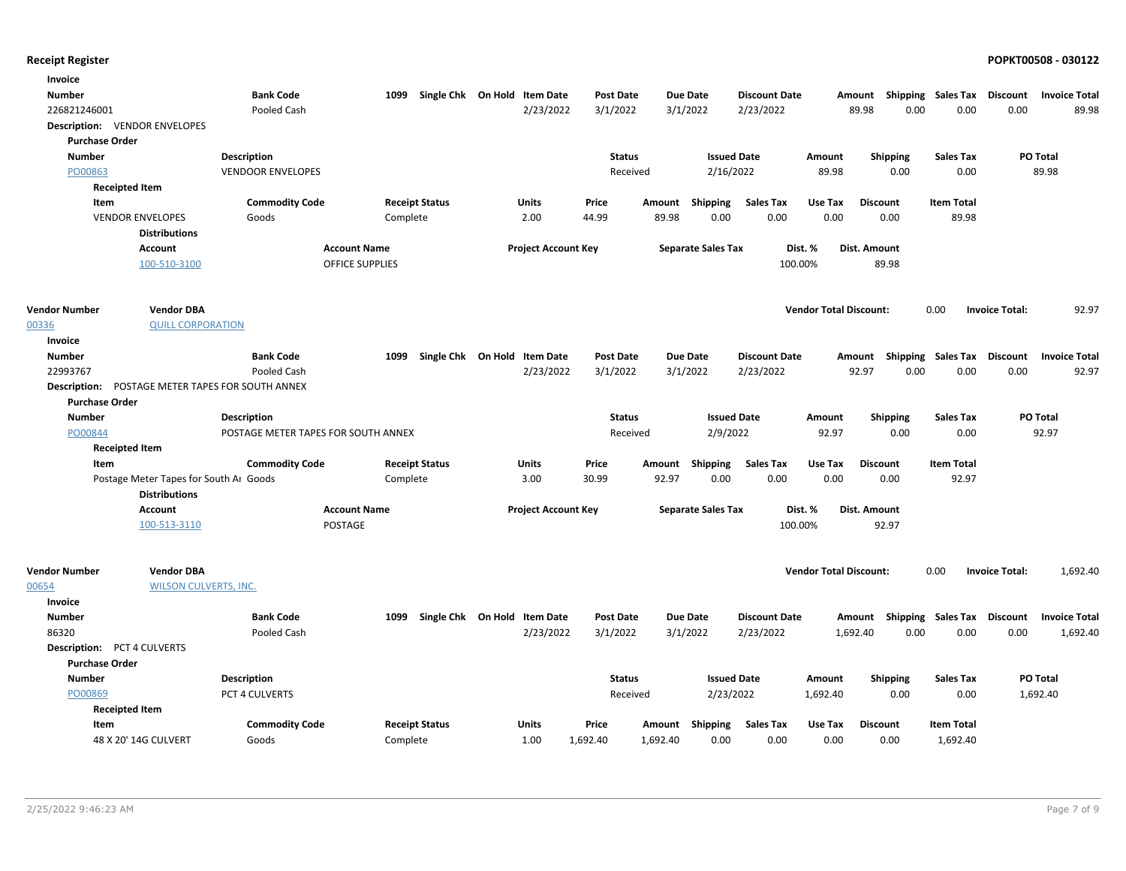| Invoice                            |                                        |                                     |                        |                              |                            |                   |                    |                           |                          |                               |                                    |                             |                       |                      |
|------------------------------------|----------------------------------------|-------------------------------------|------------------------|------------------------------|----------------------------|-------------------|--------------------|---------------------------|--------------------------|-------------------------------|------------------------------------|-----------------------------|-----------------------|----------------------|
| Number                             |                                        | <b>Bank Code</b>                    | 1099                   | Single Chk On Hold Item Date |                            | <b>Post Date</b>  |                    | <b>Due Date</b>           | <b>Discount Date</b>     |                               | Amount Shipping Sales Tax Discount |                             |                       | <b>Invoice Total</b> |
| 226821246001                       |                                        | Pooled Cash                         |                        |                              | 2/23/2022                  | 3/1/2022          |                    | 3/1/2022                  | 2/23/2022                |                               | 0.00<br>89.98                      | 0.00                        | 0.00                  | 89.98                |
|                                    | <b>Description: VENDOR ENVELOPES</b>   |                                     |                        |                              |                            |                   |                    |                           |                          |                               |                                    |                             |                       |                      |
| <b>Purchase Order</b>              |                                        |                                     |                        |                              |                            |                   |                    |                           |                          |                               |                                    |                             |                       |                      |
| <b>Number</b>                      |                                        | Description                         |                        |                              |                            | <b>Status</b>     |                    |                           | <b>Issued Date</b>       | Amount                        | <b>Shipping</b>                    | <b>Sales Tax</b>            |                       | PO Total             |
| PO00863                            |                                        | <b>VENDOOR ENVELOPES</b>            |                        |                              |                            | Received          |                    | 2/16/2022                 |                          | 89.98                         | 0.00                               | 0.00                        |                       | 89.98                |
|                                    | <b>Receipted Item</b>                  |                                     |                        |                              |                            |                   |                    |                           |                          |                               |                                    |                             |                       |                      |
| Item                               |                                        | <b>Commodity Code</b>               |                        | <b>Receipt Status</b>        | Units                      | Price             | Amount             | Shipping                  | <b>Sales Tax</b>         | Use Tax                       | <b>Discount</b>                    | <b>Item Total</b>           |                       |                      |
|                                    | <b>VENDOR ENVELOPES</b>                | Goods                               | Complete               |                              | 2.00                       | 44.99             | 89.98              | 0.00                      | 0.00                     | 0.00                          | 0.00                               | 89.98                       |                       |                      |
|                                    | <b>Distributions</b>                   |                                     |                        |                              |                            |                   |                    |                           |                          |                               |                                    |                             |                       |                      |
|                                    | <b>Account</b>                         |                                     | <b>Account Name</b>    |                              | <b>Project Account Key</b> |                   |                    | <b>Separate Sales Tax</b> |                          | Dist. %                       | <b>Dist. Amount</b>                |                             |                       |                      |
|                                    | 100-510-3100                           |                                     | <b>OFFICE SUPPLIES</b> |                              |                            |                   |                    |                           | 100.00%                  |                               | 89.98                              |                             |                       |                      |
| <b>Vendor Number</b>               | <b>Vendor DBA</b>                      |                                     |                        |                              |                            |                   |                    |                           |                          | <b>Vendor Total Discount:</b> |                                    | 0.00                        | <b>Invoice Total:</b> | 92.97                |
| 00336                              | <b>QUILL CORPORATION</b>               |                                     |                        |                              |                            |                   |                    |                           |                          |                               |                                    |                             |                       |                      |
| Invoice                            |                                        |                                     |                        |                              |                            |                   |                    |                           |                          |                               |                                    |                             |                       |                      |
| <b>Number</b>                      |                                        | <b>Bank Code</b>                    | 1099                   | Single Chk On Hold Item Date |                            | <b>Post Date</b>  |                    | <b>Due Date</b>           | <b>Discount Date</b>     |                               | Amount Shipping Sales Tax Discount |                             |                       | <b>Invoice Total</b> |
| 22993767                           |                                        | <b>Pooled Cash</b>                  |                        |                              | 2/23/2022                  | 3/1/2022          |                    | 3/1/2022                  | 2/23/2022                |                               | 92.97<br>0.00                      | 0.00                        | 0.00                  | 92.97                |
| <b>Description:</b>                | POSTAGE METER TAPES FOR SOUTH ANNEX    |                                     |                        |                              |                            |                   |                    |                           |                          |                               |                                    |                             |                       |                      |
| <b>Purchase Order</b>              |                                        |                                     |                        |                              |                            |                   |                    |                           |                          |                               |                                    |                             |                       |                      |
| <b>Number</b>                      |                                        | <b>Description</b>                  |                        |                              |                            | <b>Status</b>     |                    |                           | <b>Issued Date</b>       | Amount                        | <b>Shipping</b>                    | <b>Sales Tax</b>            |                       | PO Total             |
| PO00844                            |                                        | POSTAGE METER TAPES FOR SOUTH ANNEX |                        |                              |                            | Received          |                    | 2/9/2022                  |                          | 92.97                         | 0.00                               | 0.00                        |                       | 92.97                |
|                                    | <b>Receipted Item</b>                  |                                     |                        |                              |                            |                   |                    |                           |                          |                               |                                    |                             |                       |                      |
| Item                               |                                        | <b>Commodity Code</b>               |                        | <b>Receipt Status</b>        | <b>Units</b>               | Price             |                    | Amount Shipping           | <b>Sales Tax</b>         | Use Tax                       | <b>Discount</b>                    | <b>Item Total</b>           |                       |                      |
|                                    | Postage Meter Tapes for South Ar Goods |                                     | Complete               |                              | 3.00                       | 30.99             | 92.97              | 0.00                      | 0.00                     | 0.00                          | 0.00                               | 92.97                       |                       |                      |
|                                    | <b>Distributions</b>                   |                                     |                        |                              |                            |                   |                    |                           |                          |                               |                                    |                             |                       |                      |
|                                    | Account                                |                                     | <b>Account Name</b>    |                              | <b>Project Account Key</b> |                   |                    | <b>Separate Sales Tax</b> |                          | Dist. %                       | Dist. Amount                       |                             |                       |                      |
|                                    | 100-513-3110                           | POSTAGE                             |                        |                              |                            |                   |                    |                           | 100.00%                  |                               | 92.97                              |                             |                       |                      |
|                                    |                                        |                                     |                        |                              |                            |                   |                    |                           |                          |                               |                                    |                             |                       |                      |
| <b>Vendor Number</b>               | <b>Vendor DBA</b>                      |                                     |                        |                              |                            |                   |                    |                           |                          | <b>Vendor Total Discount:</b> |                                    | 0.00                        | <b>Invoice Total:</b> | 1,692.40             |
| 00654                              | <b>WILSON CULVERTS, INC.</b>           |                                     |                        |                              |                            |                   |                    |                           |                          |                               |                                    |                             |                       |                      |
| Invoice                            |                                        |                                     |                        |                              |                            |                   |                    |                           |                          |                               |                                    |                             |                       |                      |
| Number                             |                                        | <b>Bank Code</b>                    | 1099                   | Single Chk On Hold Item Date |                            | <b>Post Date</b>  |                    | <b>Due Date</b>           | <b>Discount Date</b>     |                               | Amount                             | Shipping Sales Tax Discount |                       | <b>Invoice Total</b> |
| 86320                              |                                        | Pooled Cash                         |                        |                              | 2/23/2022                  | 3/1/2022          |                    | 3/1/2022                  | 2/23/2022                |                               | 0.00<br>1,692.40                   | 0.00                        | 0.00                  | 1,692.40             |
| <b>Description: PCT 4 CULVERTS</b> |                                        |                                     |                        |                              |                            |                   |                    |                           |                          |                               |                                    |                             |                       |                      |
| <b>Purchase Order</b>              |                                        |                                     |                        |                              |                            |                   |                    |                           |                          |                               |                                    |                             |                       |                      |
| <b>Number</b>                      |                                        | Description                         |                        |                              |                            | <b>Status</b>     |                    |                           | <b>Issued Date</b>       | Amount                        | <b>Shipping</b>                    | <b>Sales Tax</b>            |                       | PO Total             |
| PO00869                            |                                        | PCT 4 CULVERTS                      |                        |                              |                            | Received          |                    | 2/23/2022                 |                          | 1,692.40                      | 0.00                               | 0.00                        |                       | 1,692.40             |
|                                    | <b>Receipted Item</b>                  |                                     |                        |                              | <b>Units</b>               |                   |                    |                           |                          |                               | <b>Discount</b>                    | <b>Item Total</b>           |                       |                      |
| Item                               | 48 X 20' 14G CULVERT                   | <b>Commodity Code</b><br>Goods      | Complete               | <b>Receipt Status</b>        | 1.00                       | Price<br>1,692.40 | Amount<br>1,692.40 | Shipping<br>0.00          | <b>Sales Tax</b><br>0.00 | Use Tax<br>0.00               | 0.00                               | 1,692.40                    |                       |                      |
|                                    |                                        |                                     |                        |                              |                            |                   |                    |                           |                          |                               |                                    |                             |                       |                      |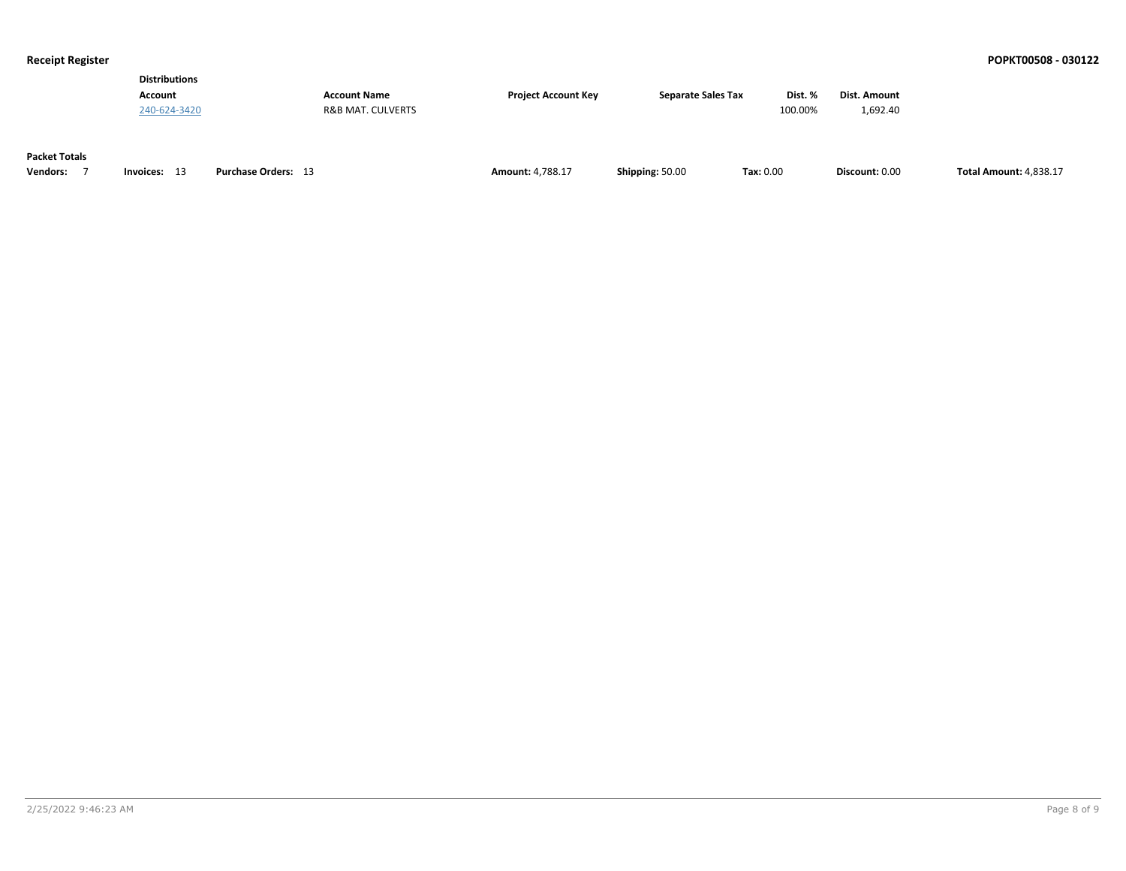| <b>Distributions</b> |                     |                     |                           |         |              |
|----------------------|---------------------|---------------------|---------------------------|---------|--------------|
| <b>Account</b>       | <b>Account Name</b> | Project Account Key | <b>Separate Sales Tax</b> | Dist. % | Dist. Amount |
| 240-624-3420         | R&B MAT. CULVERTS   |                     |                           | 100.00% | 1.692.40     |
|                      |                     |                     |                           |         |              |

### **Packet Totals**

| <b>Vendors:</b> | Invoices: | Orders:<br>Purchase | Amount:<br>1.700.17 | <b>Shipping: 50.00</b> | Tax: 0.00 | Discount: 0.00 | <b>Total Amount: 4,838.17</b> |
|-----------------|-----------|---------------------|---------------------|------------------------|-----------|----------------|-------------------------------|
|-----------------|-----------|---------------------|---------------------|------------------------|-----------|----------------|-------------------------------|